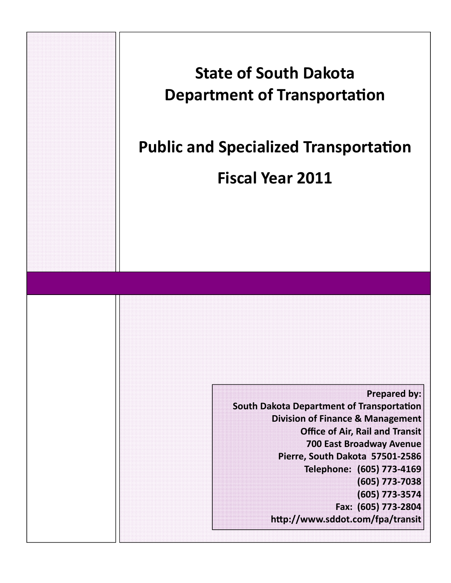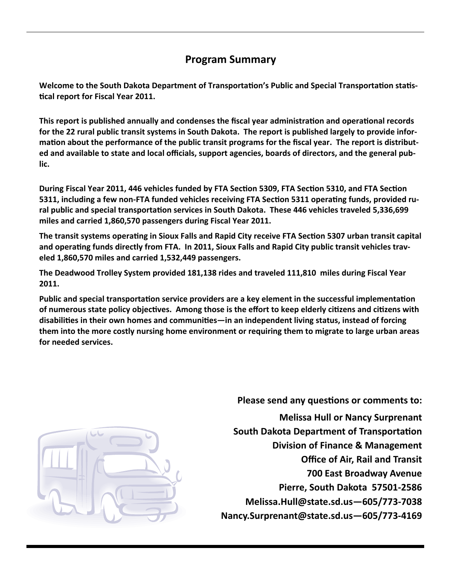# **Program Summary**

Welcome to the South Dakota Department of Transportation's Public and Special Transportation statis-**Ɵcal report for Fiscal Year 2011.** 

This report is published annually and condenses the fiscal year administration and operational records for the 22 rural public transit systems in South Dakota. The report is published largely to provide information about the performance of the public transit programs for the fiscal year. The report is distributed and available to state and local officials, support agencies, boards of directors, and the general pub**lic.**

During Fiscal Year 2011, 446 vehicles funded by FTA Section 5309, FTA Section 5310, and FTA Section 5311, including a few non-FTA funded vehicles receiving FTA Section 5311 operating funds, provided ru**ral public and special transportaƟon services in South Dakota. These 446 vehicles traveled 5,336,699 miles and carried 1,860,570 passengers during Fiscal Year 2011.** 

The transit systems operating in Sioux Falls and Rapid City receive FTA Section 5307 urban transit capital and operating funds directly from FTA. In 2011, Sioux Falls and Rapid City public transit vehicles trav**eled 1,860,570 miles and carried 1,532,449 passengers.** 

**The Deadwood Trolley System provided 181,138 rides and traveled 111,810 miles during Fiscal Year 2011.**

Public and special transportation service providers are a key element in the successful implementation of numerous state policy objectives. Among those is the effort to keep elderly citizens and citizens with **disabiliƟes in their own homes and communiƟes—in an independent living status, instead of forcing them into the more costly nursing home environment or requiring them to migrate to large urban areas for needed services.** 



**Please send any questions or comments to: Melissa Hull or Nancy Surprenant South Dakota Department of Transportation Division of Finance & Management Office of Air, Rail and Transit 700 East Broadway Avenue Pierre, South Dakota 57501‐2586 Melissa.Hull@state.sd.us—605/773‐7038 Nancy.Surprenant@state.sd.us—605/773‐4169**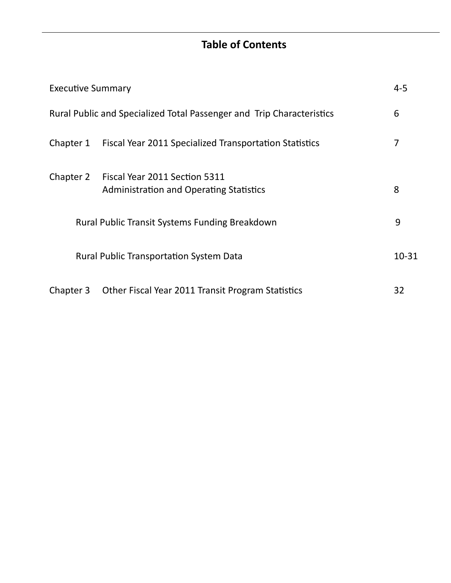# **Table of Contents**

|                                                                                              | <b>Executive Summary</b>                                              |           |
|----------------------------------------------------------------------------------------------|-----------------------------------------------------------------------|-----------|
|                                                                                              | Rural Public and Specialized Total Passenger and Trip Characteristics | 6         |
| Chapter 1                                                                                    | Fiscal Year 2011 Specialized Transportation Statistics                | 7         |
| Chapter 2<br>Fiscal Year 2011 Section 5311<br><b>Administration and Operating Statistics</b> |                                                                       | 8         |
|                                                                                              | Rural Public Transit Systems Funding Breakdown                        | 9         |
|                                                                                              | <b>Rural Public Transportation System Data</b>                        | $10 - 31$ |
| Chapter 3                                                                                    | Other Fiscal Year 2011 Transit Program Statistics                     | 32        |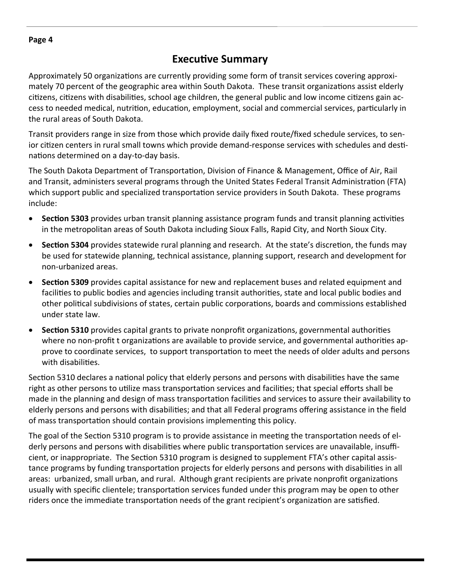### **ExecuƟve Summary**

Approximately 50 organizations are currently providing some form of transit services covering approximately 70 percent of the geographic area within South Dakota. These transit organizations assist elderly citizens, citizens with disabilities, school age children, the general public and low income citizens gain access to needed medical, nutrition, education, employment, social and commercial services, particularly in the rural areas of South Dakota.

Transit providers range in size from those which provide daily fixed route/fixed schedule services, to sen‐ ior citizen centers in rural small towns which provide demand-response services with schedules and destinations determined on a day-to-day basis.

The South Dakota Department of Transportation, Division of Finance & Management, Office of Air, Rail and Transit, administers several programs through the United States Federal Transit Administration (FTA) which support public and specialized transportation service providers in South Dakota. These programs include:

- **Section 5303** provides urban transit planning assistance program funds and transit planning activities in the metropolitan areas of South Dakota including Sioux Falls, Rapid City, and North Sioux City.
- **Section 5304** provides statewide rural planning and research. At the state's discretion, the funds may be used for statewide planning, technical assistance, planning support, research and development for non‐urbanized areas.
- **Section 5309** provides capital assistance for new and replacement buses and related equipment and facilities to public bodies and agencies including transit authorities, state and local public bodies and other political subdivisions of states, certain public corporations, boards and commissions established under state law.
- **Section 5310** provides capital grants to private nonprofit organizations, governmental authorities where no non-profit t organizations are available to provide service, and governmental authorities approve to coordinate services, to support transportation to meet the needs of older adults and persons with disabilities.

Section 5310 declares a national policy that elderly persons and persons with disabilities have the same right as other persons to utilize mass transportation services and facilities; that special efforts shall be made in the planning and design of mass transportation facilities and services to assure their availability to elderly persons and persons with disabilities; and that all Federal programs offering assistance in the field of mass transportation should contain provisions implementing this policy.

The goal of the Section 5310 program is to provide assistance in meeting the transportation needs of elderly persons and persons with disabilities where public transportation services are unavailable, insufficient, or inappropriate. The Section 5310 program is designed to supplement FTA's other capital assistance programs by funding transportation projects for elderly persons and persons with disabilities in all areas: urbanized, small urban, and rural. Although grant recipients are private nonprofit organizations usually with specific clientele; transportation services funded under this program may be open to other riders once the immediate transportation needs of the grant recipient's organization are satisfied.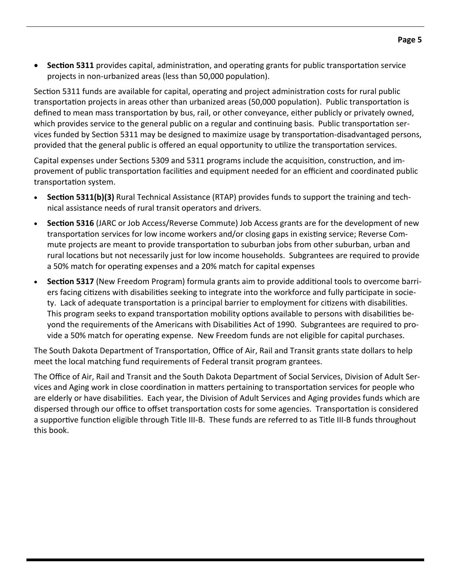**•** Section 5311 provides capital, administration, and operating grants for public transportation service projects in non-urbanized areas (less than 50,000 population).

Section 5311 funds are available for capital, operating and project administration costs for rural public transportation projects in areas other than urbanized areas (50,000 population). Public transportation is defined to mean mass transportation by bus, rail, or other conveyance, either publicly or privately owned, which provides service to the general public on a regular and continuing basis. Public transportation services funded by Section 5311 may be designed to maximize usage by transportation-disadvantaged persons, provided that the general public is offered an equal opportunity to utilize the transportation services.

Capital expenses under Sections 5309 and 5311 programs include the acquisition, construction, and improvement of public transportation facilities and equipment needed for an efficient and coordinated public transportation system.

- **Section 5311(b)(3)** Rural Technical Assistance (RTAP) provides funds to support the training and technical assistance needs of rural transit operators and drivers.
- **Section 5316** (JARC or Job Access/Reverse Commute) Job Access grants are for the development of new transportation services for low income workers and/or closing gaps in existing service; Reverse Commute projects are meant to provide transportation to suburban jobs from other suburban, urban and rural locations but not necessarily just for low income households. Subgrantees are required to provide a 50% match for operating expenses and a 20% match for capital expenses
- **Section 5317** (New Freedom Program) formula grants aim to provide additional tools to overcome barriers facing citizens with disabilities seeking to integrate into the workforce and fully participate in society. Lack of adequate transportation is a principal barrier to employment for citizens with disabilities. This program seeks to expand transportation mobility options available to persons with disabilities beyond the requirements of the Americans with Disabilities Act of 1990. Subgrantees are required to provide a 50% match for operating expense. New Freedom funds are not eligible for capital purchases.

The South Dakota Department of Transportation, Office of Air, Rail and Transit grants state dollars to help meet the local matching fund requirements of Federal transit program grantees.

The Office of Air, Rail and Transit and the South Dakota Department of Social Services, Division of Adult Ser‐ vices and Aging work in close coordination in matters pertaining to transportation services for people who are elderly or have disabilities. Each year, the Division of Adult Services and Aging provides funds which are dispersed through our office to offset transportation costs for some agencies. Transportation is considered a supportive function eligible through Title III-B. These funds are referred to as Title III-B funds throughout this book.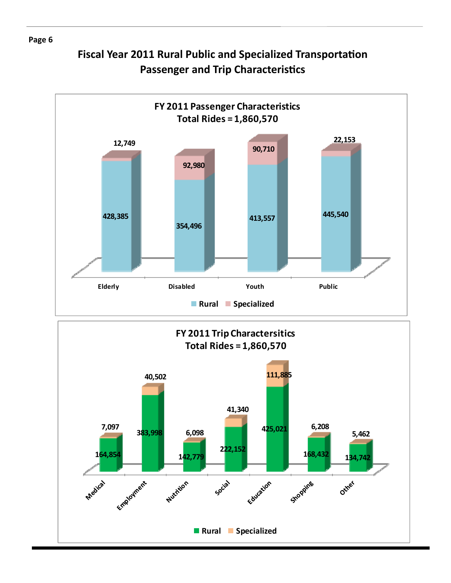# **Fiscal Year 2011 Rural Public and Specialized TransportaƟon Passenger and Trip Characteristics**



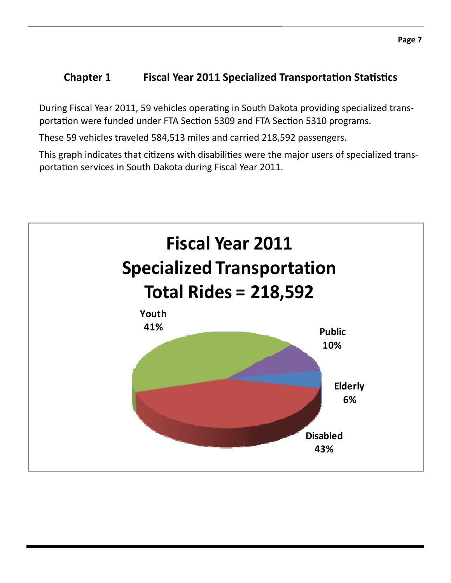### **1 Chapter 1 Fiscal Year 2011 Specialized Transportation Statistics**

During Fiscal Year 2011, 59 vehicles operating in South Dakota providing specialized transportation were funded under FTA Section 5309 and FTA Section 5310 programs.

These 59 vehicles traveled 584,513 miles and carried 218,592 passengers.

This graph indicates that citizens with disabilities were the major users of specialized transportation services in South Dakota during Fiscal Year 2011.

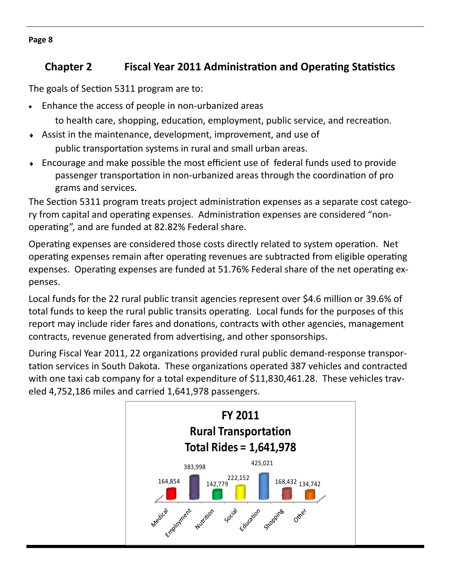# *Chapter* **2 <b> • Fiscal Year 2011 Administration and Operating Statistics**

The goals of Section 5311 program are to:

Enhance the access of people in non‐urbanized areas

to health care, shopping, education, employment, public service, and recreation.

- Assist in the maintenance, development, improvement, and use of public transportation systems in rural and small urban areas.
- Encourage and make possible the most efficient use of federal funds used to provide passenger transportation in non-urbanized areas through the coordination of pro grams and services.

The Section 5311 program treats project administration expenses as a separate cost category from capital and operating expenses. Administration expenses are considered "nonoperating", and are funded at 82.82% Federal share.

Operating expenses are considered those costs directly related to system operation. Net operating expenses remain after operating revenues are subtracted from eligible operating expenses. Operating expenses are funded at 51.76% Federal share of the net operating expenses.

Local funds for the 22 rural public transit agencies represent over \$4.6 million or 39.6% of total funds to keep the rural public transits operating. Local funds for the purposes of this report may include rider fares and donations, contracts with other agencies, management contracts, revenue generated from advertising, and other sponsorships.

During Fiscal Year 2011, 22 organizations provided rural public demand-response transportation services in South Dakota. These organizations operated 387 vehicles and contracted with one taxi cab company for a total expenditure of \$11,830,461.28. These vehicles traveled 4,752,186 miles and carried 1,641,978 passengers.



**Page 8**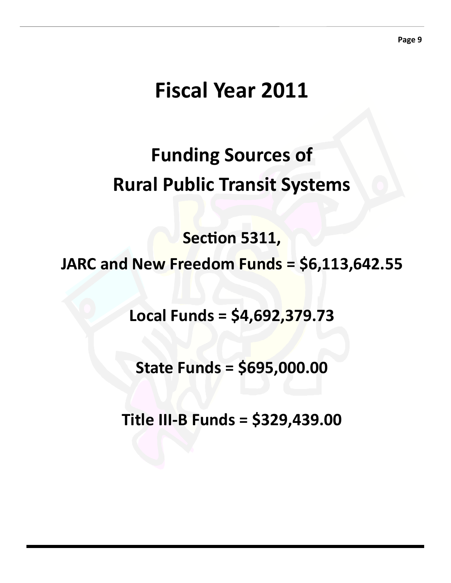# **Fiscal Year 2011**

# **Funding Sources of Rural Public Transit Systems**

**SecƟon 5311,** 

**JARC and New Freedom Funds = \$6,113,642.55**

**Local Funds = \$4,692,379.73**

**State Funds = \$695,000.00**

**Title III‐B Funds = \$329,439.00**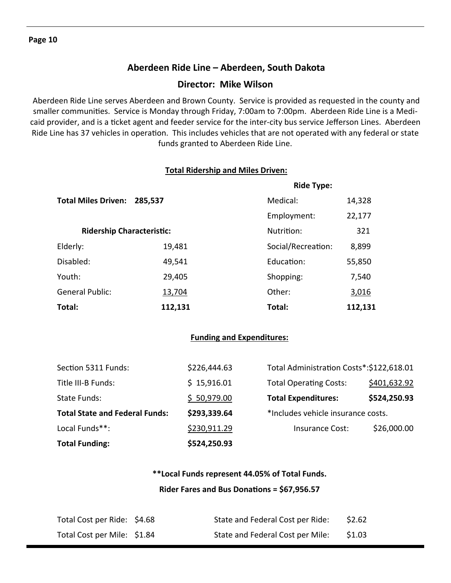### **Aberdeen Ride Line – Aberdeen, South Dakota**

### **Director: Mike Wilson**

 Aberdeen Ride Line serves Aberdeen and Brown County. Service is provided as requested in the county and smaller communities. Service is Monday through Friday, 7:00am to 7:00pm. Aberdeen Ride Line is a Medicaid provider, and is a ticket agent and feeder service for the inter-city bus service Jefferson Lines. Aberdeen Ride Line has 37 vehicles in operation. This includes vehicles that are not operated with any federal or state funds granted to Aberdeen Ride Line.

#### **Total Ridership and Miles Driven:**

|                                       | <b>Ride Type:</b> |                    |         |
|---------------------------------------|-------------------|--------------------|---------|
| <b>Total Miles Driven:</b><br>285,537 |                   | Medical:           | 14,328  |
|                                       |                   | Employment:        | 22,177  |
| <b>Ridership Characteristic:</b>      |                   | Nutrition:         | 321     |
| Elderly:                              | 19,481            | Social/Recreation: | 8,899   |
| Disabled:                             | 49,541            | Education:         | 55,850  |
| Youth:                                | 29,405            | Shopping:          | 7,540   |
| <b>General Public:</b>                | 13,704            | Other:             | 3,016   |
| Total:                                | 112,131           | Total:             | 112,131 |

### **Funding and Expenditures:**

| <b>Total Funding:</b>                 | \$524,250.93 |                                          |              |
|---------------------------------------|--------------|------------------------------------------|--------------|
| Local Funds**:                        | \$230,911.29 | <b>Insurance Cost:</b>                   | \$26,000.00  |
| <b>Total State and Federal Funds:</b> | \$293,339.64 | *Includes vehicle insurance costs.       |              |
| State Funds:                          | \$50,979.00  | <b>Total Expenditures:</b>               | \$524,250.93 |
| Title III-B Funds:                    | \$15,916.01  | <b>Total Operating Costs:</b>            | \$401,632.92 |
| Section 5311 Funds:                   | \$226,444.63 | Total Administration Costs*:\$122,618.01 |              |

### **\*\*Local Funds represent 44.05% of Total Funds. Rider Fares and Bus DonaƟons = \$67,956.57**

| Total Cost per Ride: \$4.68 | State and Federal Cost per Ride: | \$2.62 |
|-----------------------------|----------------------------------|--------|
| Total Cost per Mile: \$1.84 | State and Federal Cost per Mile: | \$1.03 |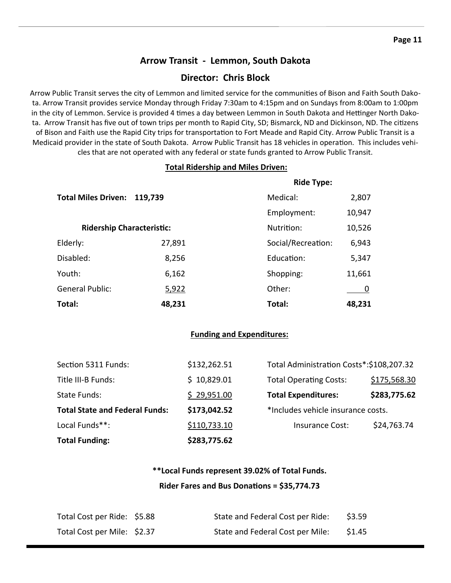### **Arrow Transit ‐ Lemmon, South Dakota**

### **Director: Chris Block**

Arrow Public Transit serves the city of Lemmon and limited service for the communities of Bison and Faith South Dakota. Arrow Transit provides service Monday through Friday 7:30am to 4:15pm and on Sundays from 8:00am to 1:00pm in the city of Lemmon. Service is provided 4 times a day between Lemmon in South Dakota and Hettinger North Dakota. Arrow Transit has five out of town trips per month to Rapid City, SD; Bismarck, ND and Dickinson, ND. The citizens of Bison and Faith use the Rapid City trips for transportation to Fort Meade and Rapid City. Arrow Public Transit is a Medicaid provider in the state of South Dakota. Arrow Public Transit has 18 vehicles in operation. This includes vehicles that are not operated with any federal or state funds granted to Arrow Public Transit.

### **Total Ridership and Miles Driven:**

|                                  |         | <b>Ride Type:</b>  |        |  |
|----------------------------------|---------|--------------------|--------|--|
| <b>Total Miles Driven:</b>       | 119,739 | Medical:           | 2,807  |  |
|                                  |         | Employment:        | 10,947 |  |
| <b>Ridership Characteristic:</b> |         | Nutrition:         | 10,526 |  |
| Elderly:                         | 27,891  | Social/Recreation: | 6,943  |  |
| Disabled:                        | 8,256   | Education:         | 5,347  |  |
| Youth:                           | 6,162   | Shopping:          | 11,661 |  |
| <b>General Public:</b>           | 5,922   | Other:             |        |  |
| Total:                           | 48,231  | Total:             | 48,231 |  |

#### **Funding and Expenditures:**

| <b>Total Funding:</b>                 | \$283,775.62 |                                          |              |
|---------------------------------------|--------------|------------------------------------------|--------------|
| Local Funds**:                        | \$110,733.10 | Insurance Cost:                          | \$24,763.74  |
| <b>Total State and Federal Funds:</b> | \$173,042.52 | *Includes vehicle insurance costs.       |              |
| <b>State Funds:</b>                   | \$29,951.00  | <b>Total Expenditures:</b>               | \$283,775.62 |
| Title III-B Funds:                    | \$10,829.01  | <b>Total Operating Costs:</b>            | \$175,568.30 |
| Section 5311 Funds:                   | \$132,262.51 | Total Administration Costs*:\$108,207.32 |              |

### **\*\*Local Funds represent 39.02% of Total Funds.**

#### **Rider Fares and Bus DonaƟons = \$35,774.73**

| Total Cost per Ride: \$5.88 | State and Federal Cost per Ride: | \$3.59 |
|-----------------------------|----------------------------------|--------|
| Total Cost per Mile: \$2.37 | State and Federal Cost per Mile: | \$1.45 |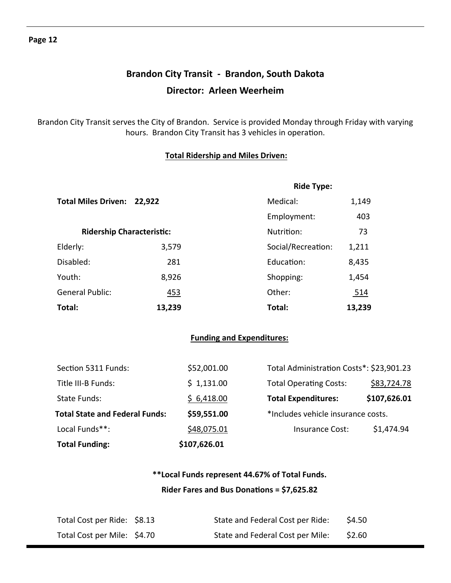# **Brandon City Transit ‐ Brandon, South Dakota Director: Arleen Weerheim**

Brandon City Transit serves the City of Brandon. Service is provided Monday through Friday with varying hours. Brandon City Transit has 3 vehicles in operation.

### **Total Ridership and Miles Driven:**

|                                  |            | <b>Ride Type:</b>  |        |
|----------------------------------|------------|--------------------|--------|
| Total Miles Driven: 22,922       |            | Medical:           | 1,149  |
|                                  |            | Employment:        | 403    |
| <b>Ridership Characteristic:</b> |            | Nutrition:         | 73     |
| Elderly:                         | 3,579      | Social/Recreation: | 1,211  |
| Disabled:                        | 281        | Education:         | 8,435  |
| Youth:                           | 8,926      | Shopping:          | 1,454  |
| <b>General Public:</b>           | <u>453</u> | Other:             | 514    |
| Total:                           | 13,239     | Total:             | 13,239 |

### **Funding and Expenditures:**

| <b>Total Funding:</b>                 | \$107,626.01 |                                          |              |
|---------------------------------------|--------------|------------------------------------------|--------------|
| Local Funds**:                        | \$48,075.01  | Insurance Cost:                          | \$1,474.94   |
| <b>Total State and Federal Funds:</b> | \$59,551.00  | *Includes vehicle insurance costs.       |              |
| State Funds:                          | \$6,418.00   | <b>Total Expenditures:</b>               | \$107,626.01 |
| Title III-B Funds:                    | \$1,131.00   | <b>Total Operating Costs:</b>            | \$83,724.78  |
| Section 5311 Funds:                   | \$52,001.00  | Total Administration Costs*: \$23,901.23 |              |

### **\*\*Local Funds represent 44.67% of Total Funds. Rider Fares and Bus DonaƟons = \$7,625.82**

| Total Cost per Ride: \$8.13 | State and Federal Cost per Ride: | \$4.50 |
|-----------------------------|----------------------------------|--------|
| Total Cost per Mile: \$4.70 | State and Federal Cost per Mile: | \$2.60 |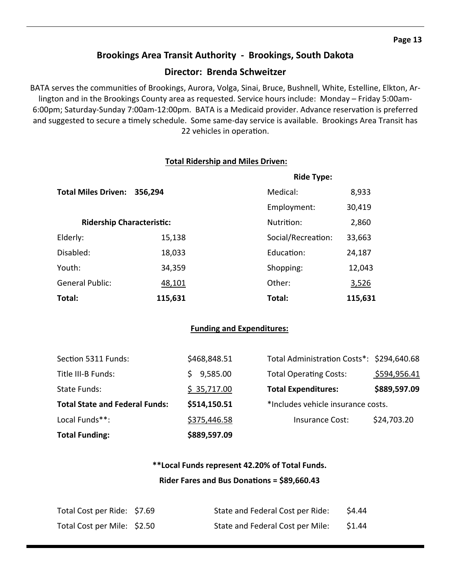### **Brookings Area Transit Authority ‐ Brookings, South Dakota**

### **Director: Brenda Schweitzer**

BATA serves the communities of Brookings, Aurora, Volga, Sinai, Bruce, Bushnell, White, Estelline, Elkton, Arlington and in the Brookings County area as requested. Service hours include: Monday – Friday 5:00am‐ 6:00pm; Saturday-Sunday 7:00am-12:00pm. BATA is a Medicaid provider. Advance reservation is preferred and suggested to secure a timely schedule. Some same-day service is available. Brookings Area Transit has 22 vehicles in operation.

#### **Total Ridership and Miles Driven:**

|                                  |         | <b>Ride Type:</b>  |         |  |
|----------------------------------|---------|--------------------|---------|--|
| <b>Total Miles Driven:</b>       | 356,294 | Medical:           | 8,933   |  |
|                                  |         | Employment:        | 30,419  |  |
| <b>Ridership Characteristic:</b> |         | Nutrition:         | 2,860   |  |
| Elderly:                         | 15,138  | Social/Recreation: | 33,663  |  |
| Disabled:                        | 18,033  | Education:         | 24,187  |  |
| Youth:                           | 34,359  | Shopping:          | 12,043  |  |
| <b>General Public:</b>           | 48,101  | Other:             | 3,526   |  |
| Total:                           | 115,631 | Total:             | 115,631 |  |

### **Funding and Expenditures:**

| <b>Total Funding:</b>                 | \$889,597.09 |                                           |              |
|---------------------------------------|--------------|-------------------------------------------|--------------|
| Local Funds**:                        | \$375,446.58 | <b>Insurance Cost:</b>                    | \$24,703.20  |
| <b>Total State and Federal Funds:</b> | \$514,150.51 | *Includes vehicle insurance costs.        |              |
| State Funds:                          | \$35,717.00  | <b>Total Expenditures:</b>                | \$889,597.09 |
| Title III-B Funds:                    | 9,585.00     | <b>Total Operating Costs:</b>             | \$594,956.41 |
| Section 5311 Funds:                   | \$468,848.51 | Total Administration Costs*: \$294,640.68 |              |

### **\*\*Local Funds represent 42.20% of Total Funds. Rider Fares and Bus DonaƟons = \$89,660.43**

| Total Cost per Ride: \$7.69 | State and Federal Cost per Ride: | \$4.44 |
|-----------------------------|----------------------------------|--------|
| Total Cost per Mile: \$2.50 | State and Federal Cost per Mile: | \$1.44 |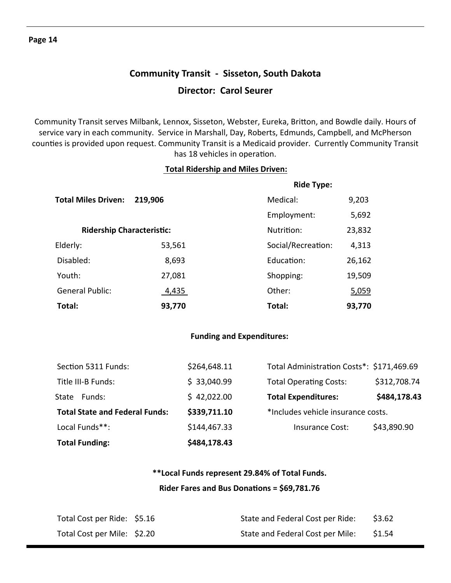# **Community Transit ‐ Sisseton, South Dakota Director: Carol Seurer**

Community Transit serves Milbank, Lennox, Sisseton, Webster, Eureka, Britton, and Bowdle daily. Hours of service vary in each community. Service in Marshall, Day, Roberts, Edmunds, Campbell, and McPherson counties is provided upon request. Community Transit is a Medicaid provider. Currently Community Transit has 18 vehicles in operation.

### **Total Ridership and Miles Driven:**

|                                  |         | <b>Ride Type:</b>  |        |  |  |
|----------------------------------|---------|--------------------|--------|--|--|
| <b>Total Miles Driven:</b>       | 219,906 | Medical:           | 9,203  |  |  |
|                                  |         | Employment:        | 5,692  |  |  |
| <b>Ridership Characteristic:</b> |         | Nutrition:         | 23,832 |  |  |
| Elderly:                         | 53,561  | Social/Recreation: | 4,313  |  |  |
| Disabled:                        | 8,693   | Education:         | 26,162 |  |  |
| Youth:                           | 27,081  | Shopping:          | 19,509 |  |  |
| <b>General Public:</b>           | 4,435   | Other:             | 5,059  |  |  |
| Total:                           | 93,770  | Total:             | 93,770 |  |  |

### **Funding and Expenditures:**

| <b>Total Funding:</b>                 | \$484,178.43 |                                           |              |
|---------------------------------------|--------------|-------------------------------------------|--------------|
| Local Funds**:                        | \$144,467.33 | Insurance Cost:                           | \$43,890.90  |
| <b>Total State and Federal Funds:</b> | \$339,711.10 | *Includes vehicle insurance costs.        |              |
| Funds:<br>State                       | \$42,022.00  | <b>Total Expenditures:</b>                | \$484,178.43 |
| Title III-B Funds:                    | \$33,040.99  | <b>Total Operating Costs:</b>             | \$312,708.74 |
| Section 5311 Funds:                   | \$264,648.11 | Total Administration Costs*: \$171,469.69 |              |

### **\*\*Local Funds represent 29.84% of Total Funds. Rider Fares and Bus DonaƟons = \$69,781.76**

| Total Cost per Ride: \$5.16 | State and Federal Cost per Ride: | \$3.62 |
|-----------------------------|----------------------------------|--------|
| Total Cost per Mile: \$2.20 | State and Federal Cost per Mile: | \$1.54 |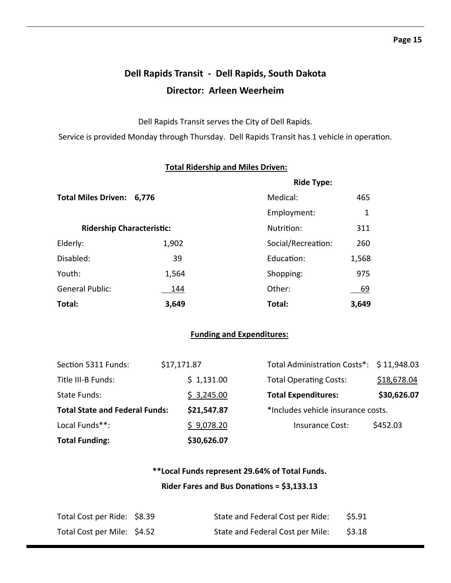# **Dell Rapids Transit ‐ Dell Rapids, South Dakota Director: Arleen Weerheim**

Dell Rapids Transit serves the City of Dell Rapids.

Service is provided Monday through Thursday. Dell Rapids Transit has 1 vehicle in operation.

|                                  |       | <b>Ride Type:</b>  |       |  |
|----------------------------------|-------|--------------------|-------|--|
| <b>Total Miles Driven:</b>       | 6,776 | Medical:           | 465   |  |
|                                  |       | Employment:        | 1     |  |
| <b>Ridership Characteristic:</b> |       | Nutrition:         | 311   |  |
| Elderly:                         | 1,902 | Social/Recreation: | 260   |  |
| Disabled:                        | 39    | Education:         | 1,568 |  |
| Youth:                           | 1,564 | Shopping:          | 975   |  |
| <b>General Public:</b>           | 144   | Other:             | 69    |  |
| Total:                           | 3,649 | Total:             | 3,649 |  |

### **Total Ridership and Miles Driven:**

### **Funding and Expenditures:**

| <b>Total Funding:</b>                 |             | \$30,626.07 |                                          |             |
|---------------------------------------|-------------|-------------|------------------------------------------|-------------|
| Local Funds**:                        |             | \$9,078.20  | Insurance Cost:                          | \$452.03    |
| <b>Total State and Federal Funds:</b> |             | \$21,547.87 | *Includes vehicle insurance costs.       |             |
| State Funds:                          |             | \$3,245.00  | <b>Total Expenditures:</b>               | \$30,626.07 |
| Title III-B Funds:                    |             | \$1,131.00  | <b>Total Operating Costs:</b>            | \$18,678.04 |
| Section 5311 Funds:                   | \$17,171.87 |             | Total Administration Costs*: \$11,948.03 |             |

### **\*\*Local Funds represent 29.64% of Total Funds.**

#### **Rider Fares and Bus DonaƟons = \$3,133.13**

| Total Cost per Ride: \$8.39 | State and Federal Cost per Ride: | \$5.91 |
|-----------------------------|----------------------------------|--------|
| Total Cost per Mile: \$4.52 | State and Federal Cost per Mile: | \$3.18 |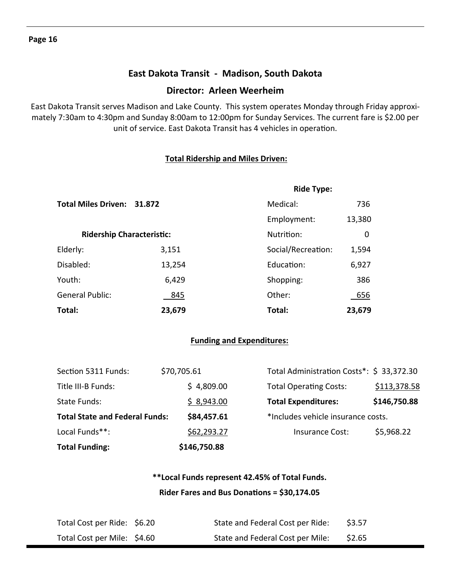### **East Dakota Transit ‐ Madison, South Dakota**

### **Director: Arleen Weerheim**

East Dakota Transit serves Madison and Lake County. This system operates Monday through Friday approxi‐ mately 7:30am to 4:30pm and Sunday 8:00am to 12:00pm for Sunday Services. The current fare is \$2.00 per unit of service. East Dakota Transit has 4 vehicles in operation.

### **Total Ridership and Miles Driven:**

|                                   |                                  | <b>Ride Type:</b>  |        |
|-----------------------------------|----------------------------------|--------------------|--------|
| <b>Total Miles Driven: 31.872</b> |                                  | Medical:           | 736    |
|                                   |                                  | Employment:        | 13,380 |
|                                   | <b>Ridership Characteristic:</b> |                    | 0      |
| Elderly:                          | 3,151                            | Social/Recreation: | 1,594  |
| Disabled:                         | 13,254                           | Fducation:         | 6,927  |
| Youth:                            | 6,429                            | Shopping:          | 386    |
| <b>General Public:</b>            | 845                              | Other:             | 656    |
| Total:                            | 23,679                           | Total:             | 23,679 |

#### **Funding and Expenditures:**

| <b>Total Funding:</b>                 | \$146,750.88 |                                           |              |
|---------------------------------------|--------------|-------------------------------------------|--------------|
| Local Funds**:                        | \$62,293.27  | <b>Insurance Cost:</b>                    | \$5,968.22   |
| <b>Total State and Federal Funds:</b> | \$84,457.61  | *Includes vehicle insurance costs.        |              |
| State Funds:                          | \$8,943.00   | <b>Total Expenditures:</b>                | \$146,750.88 |
| Title III-B Funds:                    | \$4,809.00   | <b>Total Operating Costs:</b>             | \$113,378.58 |
| Section 5311 Funds:                   | \$70,705.61  | Total Administration Costs*: \$ 33,372.30 |              |

### **\*\*Local Funds represent 42.45% of Total Funds. Rider Fares and Bus DonaƟons = \$30,174.05**

| Total Cost per Ride: \$6.20 | State and Federal Cost per Ride: | \$3.57 |
|-----------------------------|----------------------------------|--------|
| Total Cost per Mile: \$4.60 | State and Federal Cost per Mile: | \$2.65 |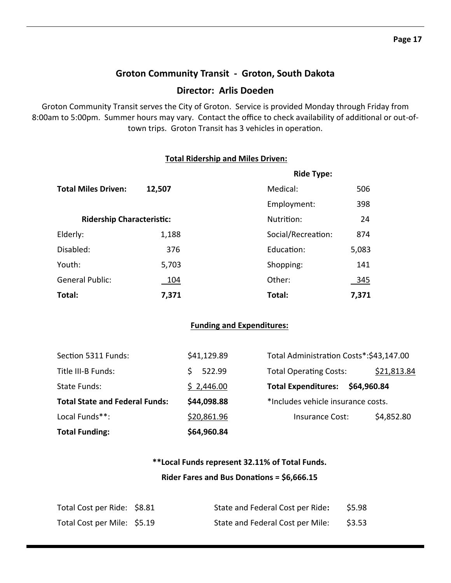### **Groton Community Transit ‐ Groton, South Dakota**

### **Director: Arlis Doeden**

Groton Community Transit serves the City of Groton. Service is provided Monday through Friday from 8:00am to 5:00pm. Summer hours may vary. Contact the office to check availability of additional or out-oftown trips. Groton Transit has 3 vehicles in operation.

#### **Total Ridership and Miles Driven:**

|                                  |        | <b>Ride Type:</b>  |            |  |  |
|----------------------------------|--------|--------------------|------------|--|--|
| <b>Total Miles Driven:</b>       | 12,507 | Medical:           | 506        |  |  |
|                                  |        | Employment:        | 398        |  |  |
| <b>Ridership Characteristic:</b> |        | Nutrition:         | 24         |  |  |
| Elderly:                         | 1,188  | Social/Recreation: | 874        |  |  |
| Disabled:                        | 376    | Education:         | 5,083      |  |  |
| Youth:                           | 5,703  | Shopping:          | 141        |  |  |
| <b>General Public:</b>           | 104    | Other:             | <u>345</u> |  |  |
| Total:                           | 7,371  | Total:             | 7,371      |  |  |

### **Funding and Expenditures:**

| <b>Total Funding:</b>                 | \$64,960.84 |                                          |             |             |
|---------------------------------------|-------------|------------------------------------------|-------------|-------------|
| Local Funds**:                        | \$20,861.96 | <b>Insurance Cost:</b>                   |             | \$4,852.80  |
| <b>Total State and Federal Funds:</b> | \$44,098.88 | *Includes vehicle insurance costs.       |             |             |
| State Funds:                          | \$2,446.00  | <b>Total Expenditures:</b>               | \$64,960.84 |             |
| Title III-B Funds:                    | 522.99      | <b>Total Operating Costs:</b>            |             | \$21,813.84 |
| Section 5311 Funds:                   | \$41,129.89 | Total Administration Costs*: \$43,147.00 |             |             |

### **\*\*Local Funds represent 32.11% of Total Funds. Rider Fares and Bus DonaƟons = \$6,666.15**

| Total Cost per Ride: \$8.81 | State and Federal Cost per Ride: | \$5.98 |
|-----------------------------|----------------------------------|--------|
| Total Cost per Mile: \$5.19 | State and Federal Cost per Mile: | \$3.53 |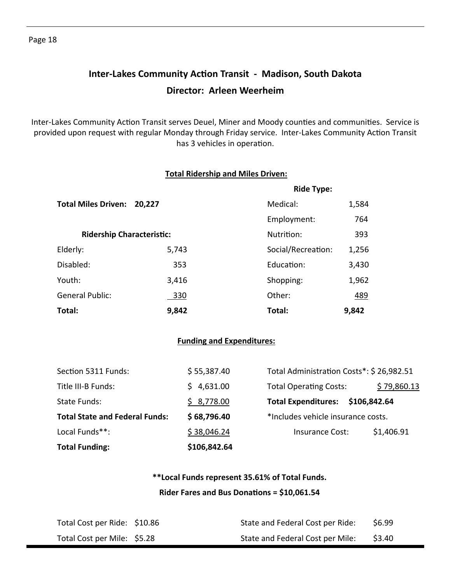# **Inter‐Lakes Community AcƟon Transit ‐ Madison, South Dakota Director: Arleen Weerheim**

Inter-Lakes Community Action Transit serves Deuel, Miner and Moody counties and communities. Service is provided upon request with regular Monday through Friday service. Inter-Lakes Community Action Transit has 3 vehicles in operation.

#### **Total Ridership and Miles Driven:**

|                                  |        | <b>Ride Type:</b>  |            |  |
|----------------------------------|--------|--------------------|------------|--|
| <b>Total Miles Driven:</b>       | 20,227 | Medical:           | 1,584      |  |
|                                  |        | Employment:        | 764        |  |
| <b>Ridership Characteristic:</b> |        | Nutrition:         | 393        |  |
| Elderly:                         | 5,743  | Social/Recreation: | 1,256      |  |
| Disabled:                        | 353    | Education:         | 3,430      |  |
| Youth:                           | 3,416  | Shopping:          | 1,962      |  |
| <b>General Public:</b>           | 330    | Other:             | <u>489</u> |  |
| Total:                           | 9,842  | Total:             | 9,842      |  |

#### **Funding and Expenditures:**

| <b>Total Funding:</b>                 | \$106,842.64 |                                          |              |
|---------------------------------------|--------------|------------------------------------------|--------------|
| Local Funds**:                        | \$38,046.24  | <b>Insurance Cost:</b>                   | \$1,406.91   |
| <b>Total State and Federal Funds:</b> | \$68,796.40  | *Includes vehicle insurance costs.       |              |
| State Funds:                          | \$8,778.00   | <b>Total Expenditures:</b>               | \$106,842.64 |
| Title III-B Funds:                    | 4,631.00     | <b>Total Operating Costs:</b>            | \$79,860.13  |
| Section 5311 Funds:                   | \$55,387.40  | Total Administration Costs*: \$26,982.51 |              |

### **\*\*Local Funds represent 35.61% of Total Funds. Rider Fares and Bus DonaƟons = \$10,061.54**

| Total Cost per Ride: \$10.86 | State and Federal Cost per Ride: | \$6.99 |
|------------------------------|----------------------------------|--------|
| Total Cost per Mile: \$5.28  | State and Federal Cost per Mile: | \$3.40 |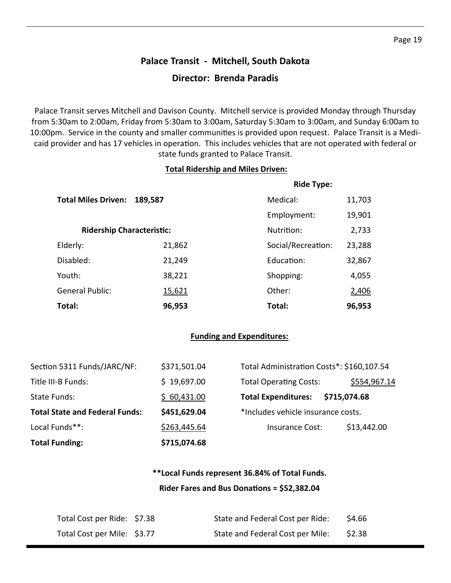# **Palace Transit ‐ Mitchell, South Dakota Director: Brenda Paradis**

Palace Transit serves Mitchell and Davison County. Mitchell service is provided Monday through Thursday from 5:30am to 2:00am, Friday from 5:30am to 3:00am, Saturday 5:30am to 3:00am, and Sunday 6:00am to 10:00pm. Service in the county and smaller communities is provided upon request. Palace Transit is a Medicaid provider and has 17 vehicles in operation. This includes vehicles that are not operated with federal or state funds granted to Palace Transit.

#### **Total Ridership and Miles Driven:**

|                                       |               | <b>Ride Type:</b>  |        |
|---------------------------------------|---------------|--------------------|--------|
| <b>Total Miles Driven:</b><br>189,587 |               | Medical:           | 11,703 |
|                                       |               | Employment:        | 19,901 |
| <b>Ridership Characteristic:</b>      |               | Nutrition:         | 2,733  |
| Elderly:                              | 21,862        | Social/Recreation: | 23,288 |
| Disabled:                             | 21,249        | Education:         | 32,867 |
| Youth:                                | 38,221        | Shopping:          | 4,055  |
| <b>General Public:</b>                | <u>15,621</u> | Other:             | 2,406  |
| Total:                                | 96,953        | Total:             | 96,953 |

#### **Funding and Expenditures:**

| <b>Total Funding:</b>                 | \$715,074.68 |                                           |              |
|---------------------------------------|--------------|-------------------------------------------|--------------|
| Local Funds**:                        | \$263,445.64 | Insurance Cost:                           | \$13,442.00  |
| <b>Total State and Federal Funds:</b> | \$451,629.04 | *Includes vehicle insurance costs.        |              |
| State Funds:                          | \$60,431.00  | <b>Total Expenditures:</b>                | \$715,074.68 |
| Title III-B Funds:                    | \$19,697.00  | <b>Total Operating Costs:</b>             | \$554,967.14 |
| Section 5311 Funds/JARC/NF:           | \$371,501.04 | Total Administration Costs*: \$160,107.54 |              |

### **\*\*Local Funds represent 36.84% of Total Funds. Rider Fares and Bus DonaƟons = \$52,382.04**

| Total Cost per Ride: \$7.38 | State and Federal Cost per Ride: | \$4.66 |
|-----------------------------|----------------------------------|--------|
| Total Cost per Mile: \$3.77 | State and Federal Cost per Mile: | \$2.38 |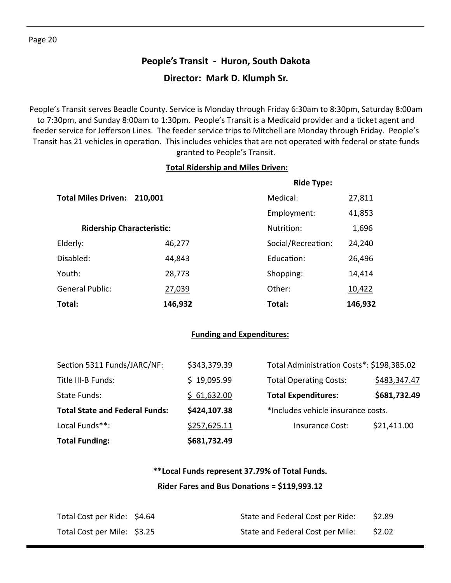# **People's Transit ‐ Huron, South Dakota Director: Mark D. Klumph Sr.**

People's Transit serves Beadle County. Service is Monday through Friday 6:30am to 8:30pm, Saturday 8:00am to 7:30pm, and Sunday 8:00am to 1:30pm. People's Transit is a Medicaid provider and a ticket agent and feeder service for Jefferson Lines. The feeder service trips to Mitchell are Monday through Friday. People's Transit has 21 vehicles in operation. This includes vehicles that are not operated with federal or state funds granted to People's Transit.

### **Total Ridership and Miles Driven:**

|  |                                       |         | <b>Ride Type:</b>  |         |
|--|---------------------------------------|---------|--------------------|---------|
|  | <b>Total Miles Driven:</b><br>210,001 |         | Medical:           | 27,811  |
|  |                                       |         | Employment:        | 41,853  |
|  | <b>Ridership Characteristic:</b>      |         | Nutrition:         | 1,696   |
|  | Elderly:                              | 46,277  | Social/Recreation: | 24,240  |
|  | Disabled:                             | 44,843  | Education:         | 26,496  |
|  | Youth:                                | 28,773  | Shopping:          | 14,414  |
|  | <b>General Public:</b>                | 27,039  | Other:             | 10,422  |
|  | Total:                                | 146,932 | Total:             | 146,932 |

### **Funding and Expenditures:**

| <b>Total Funding:</b>                 | \$681,732.49 |                                           |              |
|---------------------------------------|--------------|-------------------------------------------|--------------|
| Local Funds**:                        | \$257,625.11 | Insurance Cost:                           | \$21,411.00  |
| <b>Total State and Federal Funds:</b> | \$424,107.38 | *Includes vehicle insurance costs.        |              |
| State Funds:                          | \$61,632.00  | <b>Total Expenditures:</b>                | \$681,732.49 |
| Title III-B Funds:                    | \$19,095.99  | <b>Total Operating Costs:</b>             | \$483,347.47 |
| Section 5311 Funds/JARC/NF:           | \$343,379.39 | Total Administration Costs*: \$198,385.02 |              |

### **\*\*Local Funds represent 37.79% of Total Funds. Rider Fares and Bus DonaƟons = \$119,993.12**

| Total Cost per Ride: \$4.64 | State and Federal Cost per Ride: | \$2.89 |
|-----------------------------|----------------------------------|--------|
| Total Cost per Mile: \$3.25 | State and Federal Cost per Mile: | \$2.02 |

Page 20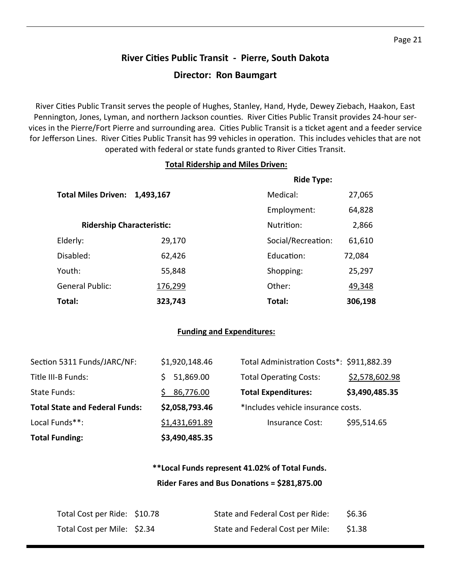# **River CiƟes Public Transit ‐ Pierre, South Dakota Director: Ron Baumgart**

River Cities Public Transit serves the people of Hughes, Stanley, Hand, Hyde, Dewey Ziebach, Haakon, East Pennington, Jones, Lyman, and northern Jackson counties. River Cities Public Transit provides 24-hour services in the Pierre/Fort Pierre and surrounding area. Cities Public Transit is a ticket agent and a feeder service for Jefferson Lines. River Cities Public Transit has 99 vehicles in operation. This includes vehicles that are not operated with federal or state funds granted to River Cities Transit.

### **Total Ridership and Miles Driven:**

|                                  |           | <b>Ride Type:</b>  |         |
|----------------------------------|-----------|--------------------|---------|
| <b>Total Miles Driven:</b>       | 1,493,167 | Medical:           | 27,065  |
|                                  |           | Employment:        | 64,828  |
| <b>Ridership Characteristic:</b> |           | Nutrition:         | 2,866   |
| Elderly:                         | 29,170    | Social/Recreation: | 61,610  |
| Disabled:                        | 62,426    | Education:         | 72,084  |
| Youth:                           | 55,848    | Shopping:          | 25,297  |
| <b>General Public:</b>           | 176,299   | Other:             | 49,348  |
| Total:                           | 323,743   | Total:             | 306,198 |

### **Funding and Expenditures:**

| <b>Total Funding:</b>                 | \$3,490,485.35 |                                           |                |
|---------------------------------------|----------------|-------------------------------------------|----------------|
| Local Funds**:                        | \$1,431,691.89 | <b>Insurance Cost:</b>                    | \$95,514.65    |
| <b>Total State and Federal Funds:</b> | \$2,058,793.46 | *Includes vehicle insurance costs.        |                |
| State Funds:                          | 86,776.00      | <b>Total Expenditures:</b>                | \$3,490,485.35 |
| Title III-B Funds:                    | 51,869.00      | <b>Total Operating Costs:</b>             | \$2,578,602.98 |
| Section 5311 Funds/JARC/NF:           | \$1,920,148.46 | Total Administration Costs*: \$911,882.39 |                |

### **\*\*Local Funds represent 41.02% of Total Funds. Rider Fares and Bus DonaƟons = \$281,875.00**

| Total Cost per Ride: \$10.78 | State and Federal Cost per Ride: | \$6.36 |
|------------------------------|----------------------------------|--------|
| Total Cost per Mile: \$2.34  | State and Federal Cost per Mile: | \$1.38 |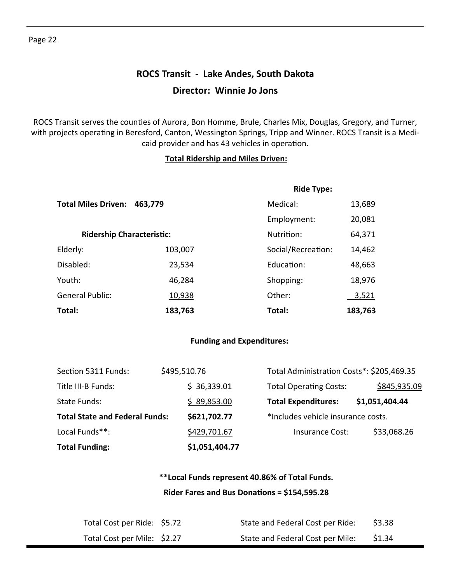# **ROCS Transit ‐ Lake Andes, South Dakota Director: Winnie Jo Jons**

ROCS Transit serves the counties of Aurora, Bon Homme, Brule, Charles Mix, Douglas, Gregory, and Turner, with projects operating in Beresford, Canton, Wessington Springs, Tripp and Winner. ROCS Transit is a Medicaid provider and has 43 vehicles in operation.

#### **Total Ridership and Miles Driven:**

|                                  |         | <b>Ride Type:</b>  |              |
|----------------------------------|---------|--------------------|--------------|
| <b>Total Miles Driven:</b>       | 463,779 | Medical:           | 13,689       |
|                                  |         | Employment:        | 20,081       |
| <b>Ridership Characteristic:</b> |         | Nutrition:         | 64,371       |
| Elderly:                         | 103,007 | Social/Recreation: | 14,462       |
| Disabled:                        | 23,534  | Education:         | 48,663       |
| Youth:                           | 46,284  | Shopping:          | 18,976       |
| <b>General Public:</b>           | 10,938  | Other:             | <u>3,521</u> |
| Total:                           | 183,763 | Total:             | 183,763      |

### **Funding and Expenditures:**

| <b>Total Funding:</b>                 |  | \$1,051,404.77 |  |                                           |  |                |
|---------------------------------------|--|----------------|--|-------------------------------------------|--|----------------|
| Local Funds**:                        |  | \$429,701.67   |  | Insurance Cost:                           |  | \$33,068.26    |
| <b>Total State and Federal Funds:</b> |  | \$621,702.77   |  | *Includes vehicle insurance costs.        |  |                |
| State Funds:                          |  | \$89,853.00    |  | <b>Total Expenditures:</b>                |  | \$1,051,404.44 |
| Title III-B Funds:                    |  | \$36,339.01    |  | <b>Total Operating Costs:</b>             |  | \$845,935.09   |
| Section 5311 Funds:                   |  | \$495,510.76   |  | Total Administration Costs*: \$205,469.35 |  |                |

### **\*\*Local Funds represent 40.86% of Total Funds. Rider Fares and Bus DonaƟons = \$154,595.28**

| Total Cost per Ride: \$5.72 | State and Federal Cost per Ride: | \$3.38 |
|-----------------------------|----------------------------------|--------|
| Total Cost per Mile: \$2.27 | State and Federal Cost per Mile: | \$1.34 |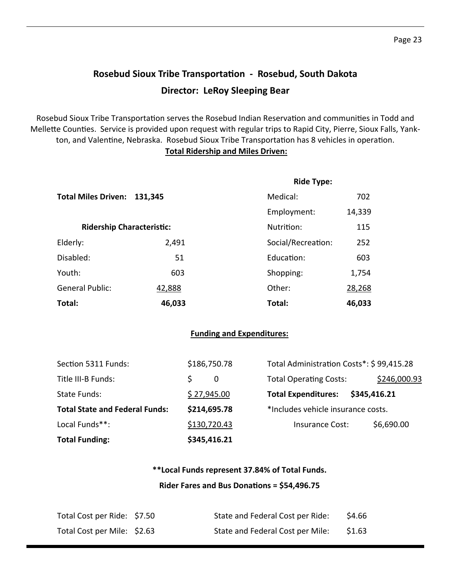# **Rosebud Sioux Tribe TransportaƟon ‐ Rosebud, South Dakota Director: LeRoy Sleeping Bear**

Rosebud Sioux Tribe Transportation serves the Rosebud Indian Reservation and communities in Todd and Mellette Counties. Service is provided upon request with regular trips to Rapid City, Pierre, Sioux Falls, Yankton, and Valentine, Nebraska. Rosebud Sioux Tribe Transportation has 8 vehicles in operation.

### **Total Ridership and Miles Driven:**

|                             |                                  | <b>Ride Type:</b>  |        |
|-----------------------------|----------------------------------|--------------------|--------|
| Total Miles Driven: 131,345 |                                  | Medical:           | 702    |
|                             |                                  | Employment:        | 14,339 |
|                             | <b>Ridership Characteristic:</b> | Nutrition:         | 115    |
| Elderly:                    | 2,491                            | Social/Recreation: | 252    |
| Disabled:                   | 51                               | Education:         | 603    |
| Youth:                      | 603                              | Shopping:          | 1,754  |
| <b>General Public:</b>      | 42,888                           | Other:             | 28,268 |
| Total:                      | 46,033                           | Total:             | 46,033 |

#### **Funding and Expenditures:**

| <b>Total Funding:</b>                 | \$345,416.21 |                                          |              |
|---------------------------------------|--------------|------------------------------------------|--------------|
| Local Funds**:                        | \$130,720.43 | Insurance Cost:                          | \$6,690.00   |
| <b>Total State and Federal Funds:</b> | \$214,695.78 | *Includes vehicle insurance costs.       |              |
| State Funds:                          | \$27,945.00  | <b>Total Expenditures:</b>               | \$345,416.21 |
| Title III-B Funds:                    | S<br>0       | <b>Total Operating Costs:</b>            | \$246,000.93 |
| Section 5311 Funds:                   | \$186,750.78 | Total Administration Costs*: \$99,415.28 |              |

### **\*\*Local Funds represent 37.84% of Total Funds. Rider Fares and Bus DonaƟons = \$54,496.75**

| Total Cost per Ride: \$7.50 | State and Federal Cost per Ride: | \$4.66 |
|-----------------------------|----------------------------------|--------|
| Total Cost per Mile: \$2.63 | State and Federal Cost per Mile: | \$1.63 |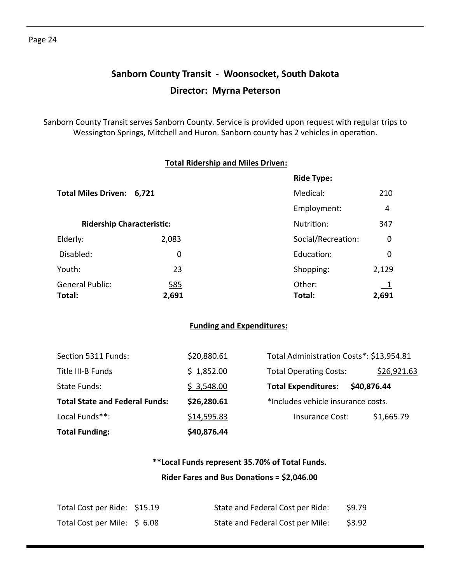# **Sanborn County Transit ‐ Woonsocket, South Dakota Director: Myrna Peterson**

Sanborn County Transit serves Sanborn County. Service is provided upon request with regular trips to Wessington Springs, Mitchell and Huron. Sanborn county has 2 vehicles in operation.

|                                  |            | <b>Ride Type:</b>  |                  |
|----------------------------------|------------|--------------------|------------------|
| Total Miles Driven: 6,721        |            | Medical:           | 210              |
|                                  |            | Employment:        | 4                |
| <b>Ridership Characteristic:</b> |            | Nutrition:         | 347              |
| Elderly:                         | 2,083      | Social/Recreation: | $\boldsymbol{0}$ |
| Disabled:                        | 0          | Education:         | $\mathbf 0$      |
| Youth:                           | 23         | Shopping:          | 2,129            |
| <b>General Public:</b>           | <u>585</u> | Other:             |                  |
| Total:                           | 2,691      | Total:             | 2,691            |

| <b>Total Funding:</b>                 | \$40,876.44 |                                           |             |
|---------------------------------------|-------------|-------------------------------------------|-------------|
| Local Funds**:                        | \$14,595.83 | <b>Insurance Cost:</b>                    | \$1,665.79  |
| <b>Total State and Federal Funds:</b> | \$26,280.61 | *Includes vehicle insurance costs.        |             |
| State Funds:                          | \$3,548.00  | <b>Total Expenditures:</b><br>\$40,876.44 |             |
| Title III-B Funds                     | \$1,852.00  | <b>Total Operating Costs:</b>             | \$26,921.63 |
| Section 5311 Funds:                   | \$20,880.61 | Total Administration Costs*: \$13,954.81  |             |

## **\*\*Local Funds represent 35.70% of Total Funds. Rider Fares and Bus DonaƟons = \$2,046.00**

| Total Cost per Ride: \$15.19 | State and Federal Cost per Ride: | \$9.79 |
|------------------------------|----------------------------------|--------|
| Total Cost per Mile: \$6.08  | State and Federal Cost per Mile: | \$3.92 |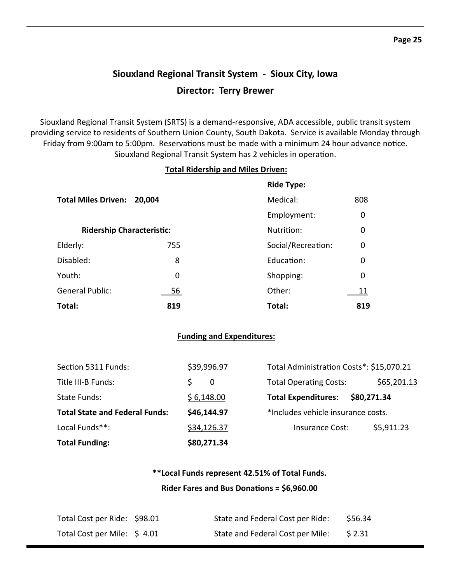# **Siouxland Regional Transit System ‐ Sioux City, Iowa Director: Terry Brewer**

Siouxland Regional Transit System (SRTS) is a demand‐responsive, ADA accessible, public transit system providing service to residents of Southern Union County, South Dakota. Service is available Monday through Friday from 9:00am to 5:00pm. Reservations must be made with a minimum 24 hour advance notice. Siouxland Regional Transit System has 2 vehicles in operation.

#### **Total Ridership and Miles Driven:**

|                                  |        | <b>Ride Type:</b>  |             |
|----------------------------------|--------|--------------------|-------------|
| <b>Total Miles Driven:</b>       | 20,004 | Medical:           | 808         |
|                                  |        | Employment:        | $\mathbf 0$ |
| <b>Ridership Characteristic:</b> |        | Nutrition:         | $\mathbf 0$ |
| Elderly:                         | 755    | Social/Recreation: | $\mathbf 0$ |
| Disabled:                        | 8      | Education:         | $\mathbf 0$ |
| Youth:                           | 0      | Shopping:          | $\mathbf 0$ |
| <b>General Public:</b>           | 56     | Other:             | 11          |
| Total:                           | 819    | Total:             | 819         |

#### **Funding and Expenditures:**

| <b>Total Funding:</b>                 | \$80,271.34 |                                          |             |
|---------------------------------------|-------------|------------------------------------------|-------------|
| Local Funds**:                        | \$34,126.37 | <b>Insurance Cost:</b>                   | \$5,911.23  |
| <b>Total State and Federal Funds:</b> | \$46,144.97 | *Includes vehicle insurance costs.       |             |
| State Funds:                          | \$6,148.00  | <b>Total Expenditures:</b>               | \$80,271.34 |
| Title III-B Funds:                    | ς<br>-0     | <b>Total Operating Costs:</b>            | \$65,201.13 |
| Section 5311 Funds:                   | \$39,996.97 | Total Administration Costs*: \$15,070.21 |             |

### **\*\*Local Funds represent 42.51% of Total Funds. Rider Fares and Bus DonaƟons = \$6,960.00**

| Total Cost per Ride: \$98.01 | State and Federal Cost per Ride: | \$56.34 |
|------------------------------|----------------------------------|---------|
| Total Cost per Mile: \$4.01  | State and Federal Cost per Mile: | \$2.31  |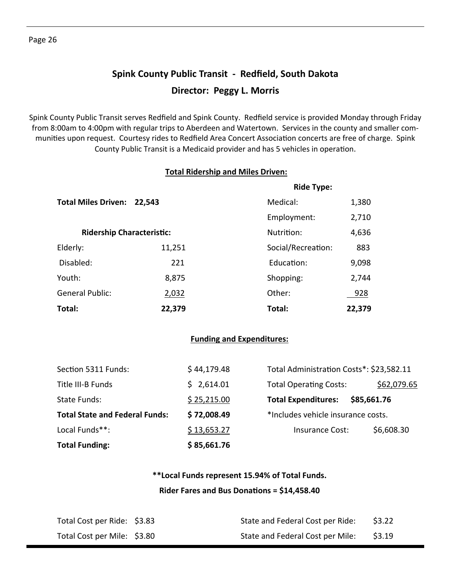# **Spink County Public Transit ‐ Redfield, South Dakota Director: Peggy L. Morris**

Spink County Public Transit serves Redfield and Spink County. Redfield service is provided Monday through Friday from 8:00am to 4:00pm with regular trips to Aberdeen and Watertown. Services in the county and smaller com‐ munities upon request. Courtesy rides to Redfield Area Concert Association concerts are free of charge. Spink County Public Transit is a Medicaid provider and has 5 vehicles in operation.

### **Total Ridership and Miles Driven:**

|                            |                                  | <b>Ride Type:</b>  |        |  |
|----------------------------|----------------------------------|--------------------|--------|--|
| <b>Total Miles Driven:</b> | 22,543                           |                    | 1,380  |  |
|                            |                                  | Employment:        | 2,710  |  |
|                            | <b>Ridership Characteristic:</b> |                    | 4,636  |  |
| Elderly:                   | 11,251                           | Social/Recreation: | 883    |  |
| Disabled:                  | 221                              | Education:         | 9,098  |  |
| Youth:                     | 8,875                            | Shopping:          | 2,744  |  |
| <b>General Public:</b>     | 2,032                            | Other:             | 928    |  |
| Total:                     | 22,379                           | Total:             | 22,379 |  |

#### **Funding and Expenditures:**

| <b>Total Funding:</b> |                                       | \$85,661.76 |                                    |                                          |  |
|-----------------------|---------------------------------------|-------------|------------------------------------|------------------------------------------|--|
| Local Funds**:        |                                       | \$13,653.27 | <b>Insurance Cost:</b>             | \$6,608.30                               |  |
|                       | <b>Total State and Federal Funds:</b> | \$72,008.49 | *Includes vehicle insurance costs. |                                          |  |
| State Funds:          |                                       | \$25,215.00 | <b>Total Expenditures:</b>         | \$85,661.76                              |  |
| Title III-B Funds     |                                       | \$2,614.01  | <b>Total Operating Costs:</b>      | \$62,079.65                              |  |
|                       | Section 5311 Funds:                   | \$44,179.48 |                                    | Total Administration Costs*: \$23,582.11 |  |

### **\*\*Local Funds represent 15.94% of Total Funds. Rider Fares and Bus DonaƟons = \$14,458.40**

| Total Cost per Ride: \$3.83 | State and Federal Cost per Ride: | \$3.22 |
|-----------------------------|----------------------------------|--------|
| Total Cost per Mile: \$3.80 | State and Federal Cost per Mile: | \$3.19 |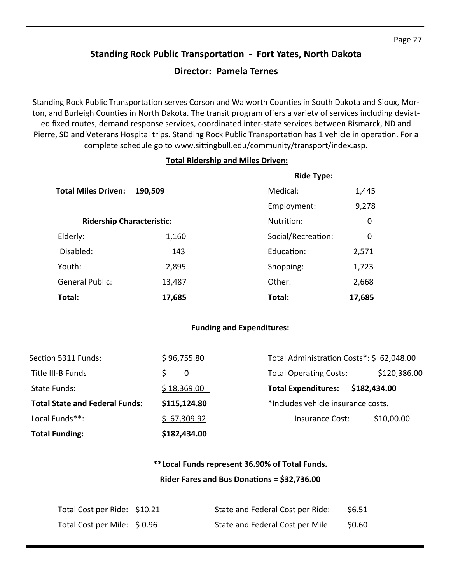# **Standing Rock Public TransportaƟon ‐ Fort Yates, North Dakota**

### **Director: Pamela Ternes**

Standing Rock Public Transportation serves Corson and Walworth Counties in South Dakota and Sioux, Morton, and Burleigh Counties in North Dakota. The transit program offers a variety of services including deviated fixed routes, demand response services, coordinated inter‐state services between Bismarck, ND and Pierre, SD and Veterans Hospital trips. Standing Rock Public Transportation has 1 vehicle in operation. For a complete schedule go to www.sittingbull.edu/community/transport/index.asp.

#### **Total Ridership and Miles Driven:**

|                            |                                  | <b>Ride Type:</b>  |        |
|----------------------------|----------------------------------|--------------------|--------|
| <b>Total Miles Driven:</b> | 190,509                          | Medical:           | 1,445  |
|                            |                                  | Employment:        | 9,278  |
|                            | <b>Ridership Characteristic:</b> |                    | 0      |
| Elderly:                   | 1,160                            | Social/Recreation: | 0      |
| Disabled:                  | 143                              | Education:         | 2,571  |
| Youth:                     | 2,895                            | Shopping:          | 1,723  |
| <b>General Public:</b>     | 13,487                           | Other:             | 2,668  |
| Total:                     | 17,685                           | Total:             | 17,685 |

### **Funding and Expenditures:**

| Section 5311 Funds:                   | \$96,755.80  | Total Administration Costs*: \$ 62,048.00 |              |
|---------------------------------------|--------------|-------------------------------------------|--------------|
| Title III-B Funds                     | $\Omega$     | <b>Total Operating Costs:</b>             | \$120,386.00 |
| State Funds:                          | \$18,369.00  | <b>Total Expenditures:</b>                | \$182,434.00 |
| <b>Total State and Federal Funds:</b> | \$115,124.80 | *Includes vehicle insurance costs.        |              |
| Local Funds**:                        | \$67,309.92  | Insurance Cost:                           | \$10,00.00   |
| <b>Total Funding:</b>                 | \$182,434.00 |                                           |              |

### **\*\*Local Funds represent 36.90% of Total Funds. Rider Fares and Bus DonaƟons = \$32,736.00**

| Total Cost per Ride: \$10.21 | State and Federal Cost per Ride: | \$6.51 |
|------------------------------|----------------------------------|--------|
| Total Cost per Mile: \$0.96  | State and Federal Cost per Mile: | \$0.60 |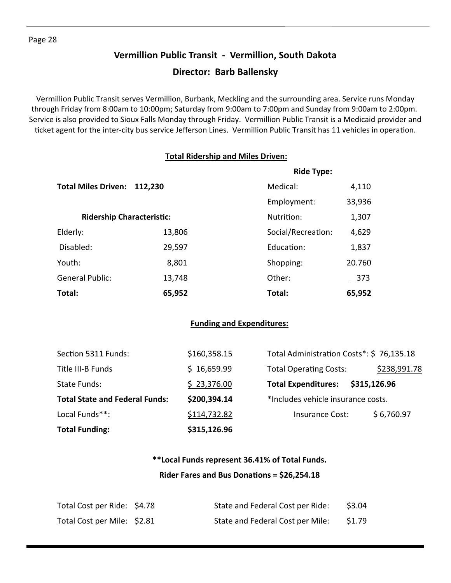### **Vermillion Public Transit ‐ Vermillion, South Dakota**

### **Director: Barb Ballensky**

Vermillion Public Transit serves Vermillion, Burbank, Meckling and the surrounding area. Service runs Monday through Friday from 8:00am to 10:00pm; Saturday from 9:00am to 7:00pm and Sunday from 9:00am to 2:00pm. Service is also provided to Sioux Falls Monday through Friday. Vermillion Public Transit is a Medicaid provider and ticket agent for the inter-city bus service Jefferson Lines. Vermillion Public Transit has 11 vehicles in operation.

### **Total Ridership and Miles Driven:**

|                            |                                  | <b>Ride Type:</b>  |        |  |
|----------------------------|----------------------------------|--------------------|--------|--|
| <b>Total Miles Driven:</b> | 112,230                          |                    | 4,110  |  |
|                            |                                  | Employment:        | 33,936 |  |
|                            | <b>Ridership Characteristic:</b> |                    | 1,307  |  |
| Elderly:                   | 13,806                           | Social/Recreation: | 4,629  |  |
| Disabled:                  | 29,597                           | <b>Education:</b>  | 1,837  |  |
| Youth:                     | 8,801                            | Shopping:          | 20.760 |  |
| <b>General Public:</b>     | 13,748                           | Other:             | 373    |  |
| Total:                     | 65,952                           | Total:             | 65,952 |  |

### **Funding and Expenditures:**

| <b>Total Funding:</b>                 | \$315,126.96 |                                               |  |
|---------------------------------------|--------------|-----------------------------------------------|--|
| Local Funds**:                        | \$114,732.82 | \$6,760.97<br>Insurance Cost:                 |  |
| <b>Total State and Federal Funds:</b> | \$200,394.14 | *Includes vehicle insurance costs.            |  |
| State Funds:                          | \$23,376.00  | \$315,126.96<br><b>Total Expenditures:</b>    |  |
| Title III-B Funds                     | \$16,659.99  | \$238,991.78<br><b>Total Operating Costs:</b> |  |
| Section 5311 Funds:                   | \$160,358.15 | Total Administration Costs*: \$76,135.18      |  |

# **\*\*Local Funds represent 36.41% of Total Funds.**

### **Rider Fares and Bus DonaƟons = \$26,254.18**

| Total Cost per Ride: \$4.78 | State and Federal Cost per Ride: | \$3.04 |
|-----------------------------|----------------------------------|--------|
| Total Cost per Mile: \$2.81 | State and Federal Cost per Mile: | \$1.79 |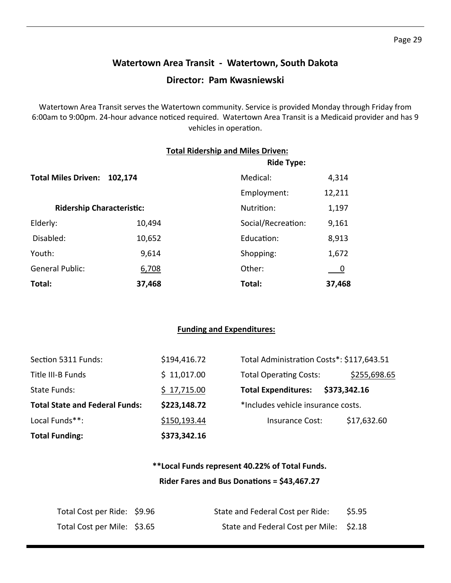### **Watertown Area Transit ‐ Watertown, South Dakota**

### **Director: Pam Kwasniewski**

Watertown Area Transit serves the Watertown community. Service is provided Monday through Friday from 6:00am to 9:00pm. 24-hour advance noticed required. Watertown Area Transit is a Medicaid provider and has 9 vehicles in operation.

|                                  |         | <b>Total Ridership and Miles Driven:</b><br><b>Ride Type:</b> |        |  |
|----------------------------------|---------|---------------------------------------------------------------|--------|--|
| <b>Total Miles Driven:</b>       | 102,174 | Medical:                                                      | 4,314  |  |
|                                  |         | Employment:                                                   | 12,211 |  |
| <b>Ridership Characteristic:</b> |         | Nutrition:                                                    | 1,197  |  |
| Elderly:                         | 10,494  | Social/Recreation:                                            | 9,161  |  |
| Disabled:                        | 10,652  | Education:                                                    | 8,913  |  |
| Youth:                           | 9,614   | Shopping:                                                     | 1,672  |  |
| <b>General Public:</b>           | 6,708   | Other:                                                        |        |  |
| Total:                           | 37,468  | Total:                                                        | 37,468 |  |

#### **Funding and Expenditures:**

| Section 5311 Funds:                   | \$194,416.72 | Total Administration Costs*: \$117,643.51 |              |
|---------------------------------------|--------------|-------------------------------------------|--------------|
| Title III-B Funds                     | \$11,017.00  | <b>Total Operating Costs:</b>             | \$255,698.65 |
| <b>State Funds:</b>                   | \$17,715.00  | <b>Total Expenditures:</b>                | \$373,342.16 |
| <b>Total State and Federal Funds:</b> | \$223,148.72 | *Includes vehicle insurance costs.        |              |
| Local Funds**:                        | \$150,193.44 | Insurance Cost:                           | \$17,632.60  |
| <b>Total Funding:</b>                 | \$373,342.16 |                                           |              |

### **\*\*Local Funds represent 40.22% of Total Funds. Rider Fares and Bus DonaƟons = \$43,467.27**

| Total Cost per Ride: \$9.96 | State and Federal Cost per Ride:        | \$5.95 |
|-----------------------------|-----------------------------------------|--------|
| Total Cost per Mile: \$3.65 | State and Federal Cost per Mile: \$2.18 |        |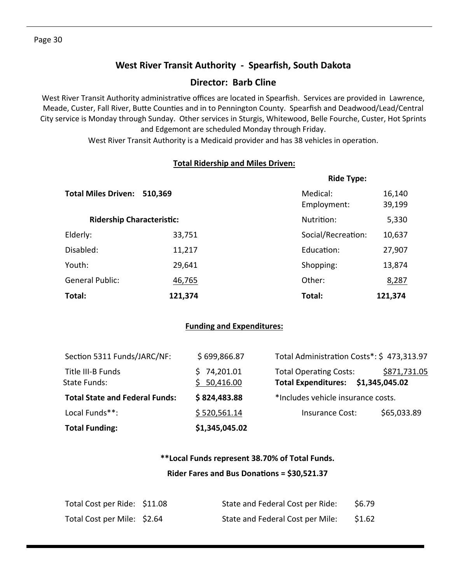### **West River Transit Authority ‐ Spearfish, South Dakota**

### **Director: Barb Cline**

West River Transit Authority administrative offices are located in Spearfish. Services are provided in Lawrence, Meade, Custer, Fall River, Butte Counties and in to Pennington County. Spearfish and Deadwood/Lead/Central City service is Monday through Sunday. Other services in Sturgis, Whitewood, Belle Fourche, Custer, Hot Sprints and Edgemont are scheduled Monday through Friday.

West River Transit Authority is a Medicaid provider and has 38 vehicles in operation.

### **Total Ridership and Miles Driven:**

|                                  |         | <b>Ride Type:</b>       |                  |  |  |
|----------------------------------|---------|-------------------------|------------------|--|--|
| <b>Total Miles Driven:</b>       | 510,369 | Medical:<br>Employment: | 16,140<br>39,199 |  |  |
| <b>Ridership Characteristic:</b> |         | Nutrition:              | 5,330            |  |  |
| Elderly:                         | 33,751  | Social/Recreation:      | 10,637           |  |  |
| Disabled:                        | 11,217  | Education:              | 27,907           |  |  |
| Youth:                           | 29,641  | Shopping:               | 13,874           |  |  |
| <b>General Public:</b>           | 46,765  | Other:                  | 8,287            |  |  |
| Total:                           | 121,374 | Total:                  | 121,374          |  |  |

### **Funding and Expenditures:**

| <b>Total Funding:</b>                 | \$1,345,045.02               |                                                                                     |  |
|---------------------------------------|------------------------------|-------------------------------------------------------------------------------------|--|
| Local Funds**:                        | \$520,561.14                 | \$65,033.89<br>Insurance Cost:                                                      |  |
| <b>Total State and Federal Funds:</b> | \$824,483.88                 | *Includes vehicle insurance costs.                                                  |  |
| Title III-B Funds<br>State Funds:     | 74,201.01<br>S.<br>50,416.00 | \$871,731.05<br><b>Total Operating Costs:</b><br>Total Expenditures: \$1,345,045.02 |  |
| Section 5311 Funds/JARC/NF:           | \$699,866.87                 | Total Administration Costs*: \$473,313.97                                           |  |

#### **\*\*Local Funds represent 38.70% of Total Funds.**

#### **Rider Fares and Bus DonaƟons = \$30,521.37**

| Total Cost per Ride: \$11.08 | State and Federal Cost per Ride: | \$6.79 |
|------------------------------|----------------------------------|--------|
| Total Cost per Mile: \$2.64  | State and Federal Cost per Mile: | \$1.62 |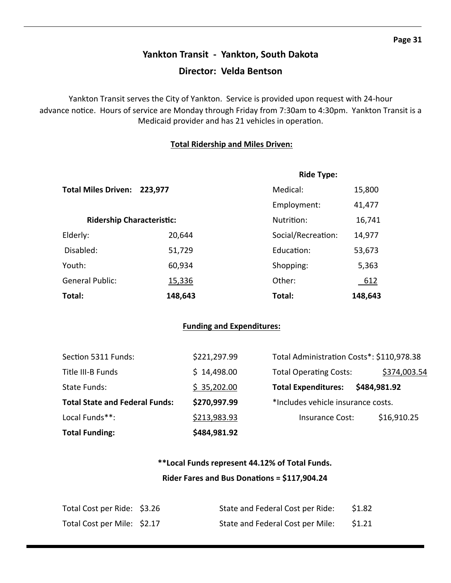# **Yankton Transit ‐ Yankton, South Dakota Director: Velda Bentson**

Yankton Transit serves the City of Yankton. Service is provided upon request with 24‐hour advance notice. Hours of service are Monday through Friday from 7:30am to 4:30pm. Yankton Transit is a Medicaid provider and has 21 vehicles in operation.

### **Total Ridership and Miles Driven:**

|                                  |         | <b>Ride Type:</b>  |             |
|----------------------------------|---------|--------------------|-------------|
| Total Miles Driven: 223,977      |         | Medical:           | 15,800      |
|                                  |         | Employment:        | 41,477      |
| <b>Ridership Characteristic:</b> |         | Nutrition:         | 16,741      |
| Elderly:                         | 20,644  | Social/Recreation: | 14,977      |
| Disabled:                        | 51,729  | Education:         | 53,673      |
| Youth:                           | 60,934  | Shopping:          | 5,363       |
| <b>General Public:</b>           | 15,336  | Other:             | <u>_612</u> |
| Total:                           | 148,643 | Total:             | 148,643     |

### **Funding and Expenditures:**

| <b>Total Funding:</b> |                                       | \$484,981.92 |                                           |              |
|-----------------------|---------------------------------------|--------------|-------------------------------------------|--------------|
| Local Funds**:        |                                       | \$213,983.93 | Insurance Cost:                           | \$16,910.25  |
|                       | <b>Total State and Federal Funds:</b> | \$270,997.99 | *Includes vehicle insurance costs.        |              |
| State Funds:          |                                       | \$35,202.00  | <b>Total Expenditures:</b>                | \$484,981.92 |
| Title III-B Funds     |                                       | \$14,498.00  | <b>Total Operating Costs:</b>             | \$374,003.54 |
|                       | Section 5311 Funds:                   | \$221,297.99 | Total Administration Costs*: \$110,978.38 |              |

### **\*\*Local Funds represent 44.12% of Total Funds. Rider Fares and Bus DonaƟons = \$117,904.24**

| Total Cost per Ride: \$3.26 | State and Federal Cost per Ride: | \$1.82 |
|-----------------------------|----------------------------------|--------|
| Total Cost per Mile: \$2.17 | State and Federal Cost per Mile: | \$1.21 |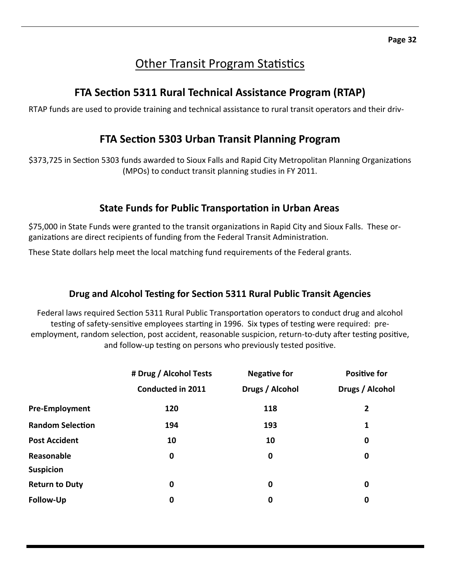# Other Transit Program Statistics

# **FTA SecƟon 5311 Rural Technical Assistance Program (RTAP)**

RTAP funds are used to provide training and technical assistance to rural transit operators and their driv‐

# **FTA SecƟon 5303 Urban Transit Planning Program**

\$373,725 in Section 5303 funds awarded to Sioux Falls and Rapid City Metropolitan Planning Organizations (MPOs) to conduct transit planning studies in FY 2011.

### **State Funds for Public TransportaƟon in Urban Areas**

\$75,000 in State Funds were granted to the transit organizations in Rapid City and Sioux Falls. These organizations are direct recipients of funding from the Federal Transit Administration.

These State dollars help meet the local matching fund requirements of the Federal grants.

### **Drug and Alcohol TesƟng for SecƟon 5311 Rural Public Transit Agencies**

Federal laws required Section 5311 Rural Public Transportation operators to conduct drug and alcohol testing of safety-sensitive employees starting in 1996. Six types of testing were required: preemployment, random selection, post accident, reasonable suspicion, return-to-duty after testing positive, and follow-up testing on persons who previously tested positive.

|                         | # Drug / Alcohol Tests   | <b>Negative for</b> | <b>Positive for</b> |
|-------------------------|--------------------------|---------------------|---------------------|
|                         | <b>Conducted in 2011</b> | Drugs / Alcohol     | Drugs / Alcohol     |
| <b>Pre-Employment</b>   | 120                      | 118                 | 2                   |
| <b>Random Selection</b> | 194                      | 193                 | 1                   |
| <b>Post Accident</b>    | 10                       | 10                  | 0                   |
| Reasonable              | $\mathbf 0$              | $\mathbf 0$         | $\bf{0}$            |
| <b>Suspicion</b>        |                          |                     |                     |
| <b>Return to Duty</b>   | $\bf{0}$                 | 0                   | $\bf{0}$            |
| Follow-Up               | 0                        | 0                   | $\bf{0}$            |